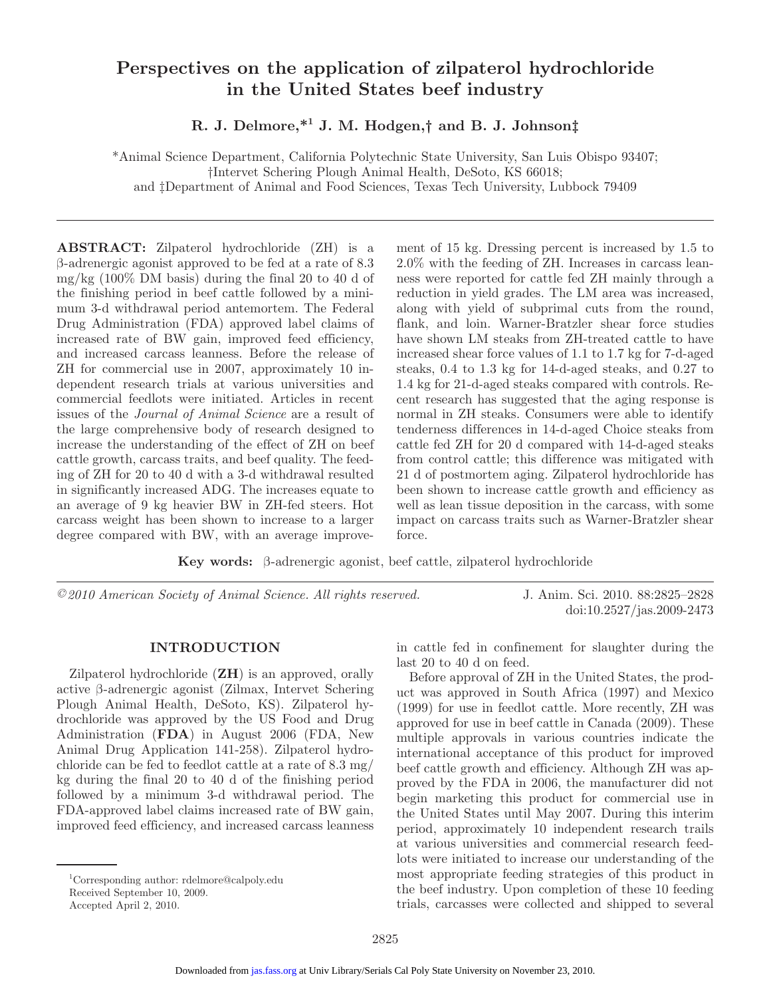# **Perspectives on the application of zilpaterol hydrochloride in the United States beef industry**

**R. J. Delmore,\*1 J. M. Hodgen,† and B. J. Johnson‡** 

\*Animal Science Department, California Polytechnic State University, San Luis Obispo 93407; †Intervet Schering Plough Animal Health, DeSoto, KS 66018; and ‡Department of Animal and Food Sciences, Texas Tech University, Lubbock 79409

**ABSTRACT:** Zilpaterol hydrochloride (ZH) is a β-adrenergic agonist approved to be fed at a rate of 8.3 mg/kg (100% DM basis) during the final 20 to 40 d of the finishing period in beef cattle followed by a minimum 3-d withdrawal period antemortem. The Federal Drug Administration (FDA) approved label claims of increased rate of BW gain, improved feed efficiency, and increased carcass leanness. Before the release of ZH for commercial use in 2007, approximately 10 independent research trials at various universities and commercial feedlots were initiated. Articles in recent issues of the *Journal of Animal Science* are a result of the large comprehensive body of research designed to increase the understanding of the effect of ZH on beef cattle growth, carcass traits, and beef quality. The feeding of ZH for 20 to 40 d with a 3-d withdrawal resulted in significantly increased ADG. The increases equate to an average of 9 kg heavier BW in ZH-fed steers. Hot carcass weight has been shown to increase to a larger degree compared with BW, with an average improve-

ment of 15 kg. Dressing percent is increased by 1.5 to 2.0% with the feeding of ZH. Increases in carcass leanness were reported for cattle fed ZH mainly through a reduction in yield grades. The LM area was increased, along with yield of subprimal cuts from the round, flank, and loin. Warner-Bratzler shear force studies have shown LM steaks from ZH-treated cattle to have increased shear force values of 1.1 to 1.7 kg for 7-d-aged steaks, 0.4 to 1.3 kg for 14-d-aged steaks, and 0.27 to 1.4 kg for 21-d-aged steaks compared with controls. Recent research has suggested that the aging response is normal in ZH steaks. Consumers were able to identify tenderness differences in 14-d-aged Choice steaks from cattle fed ZH for 20 d compared with 14-d-aged steaks from control cattle; this difference was mitigated with 21 d of postmortem aging. Zilpaterol hydrochloride has been shown to increase cattle growth and efficiency as well as lean tissue deposition in the carcass, with some impact on carcass traits such as Warner-Bratzler shear force.

**Key words:** β-adrenergic agonist, beef cattle, zilpaterol hydrochloride

*©2010 American Society of Animal Science. All rights reserved.* J. Anim. Sci. 2010. 88:2825–2828

doi:10.2527/jas.2009-2473

### **INTRODUCTION**

Zilpaterol hydrochloride (**ZH**) is an approved, orally active β-adrenergic agonist (Zilmax, Intervet Schering Plough Animal Health, DeSoto, KS). Zilpaterol hydrochloride was approved by the US Food and Drug Administration (**FDA**) in August 2006 (FDA, New Animal Drug Application 141-258). Zilpaterol hydrochloride can be fed to feedlot cattle at a rate of 8.3 mg/ kg during the final 20 to 40 d of the finishing period followed by a minimum 3-d withdrawal period. The FDA-approved label claims increased rate of BW gain, improved feed efficiency, and increased carcass leanness in cattle fed in confinement for slaughter during the last 20 to 40 d on feed.

Before approval of ZH in the United States, the product was approved in South Africa (1997) and Mexico (1999) for use in feedlot cattle. More recently, ZH was approved for use in beef cattle in Canada (2009). These multiple approvals in various countries indicate the international acceptance of this product for improved beef cattle growth and efficiency. Although ZH was approved by the FDA in 2006, the manufacturer did not begin marketing this product for commercial use in the United States until May 2007. During this interim period, approximately 10 independent research trails at various universities and commercial research feedlots were initiated to increase our understanding of the most appropriate feeding strategies of this product in the beef industry. Upon completion of these 10 feeding trials, carcasses were collected and shipped to several

<sup>1</sup> Corresponding author: rdelmore@calpoly.edu

Received September 10, 2009.

Accepted April 2, 2010.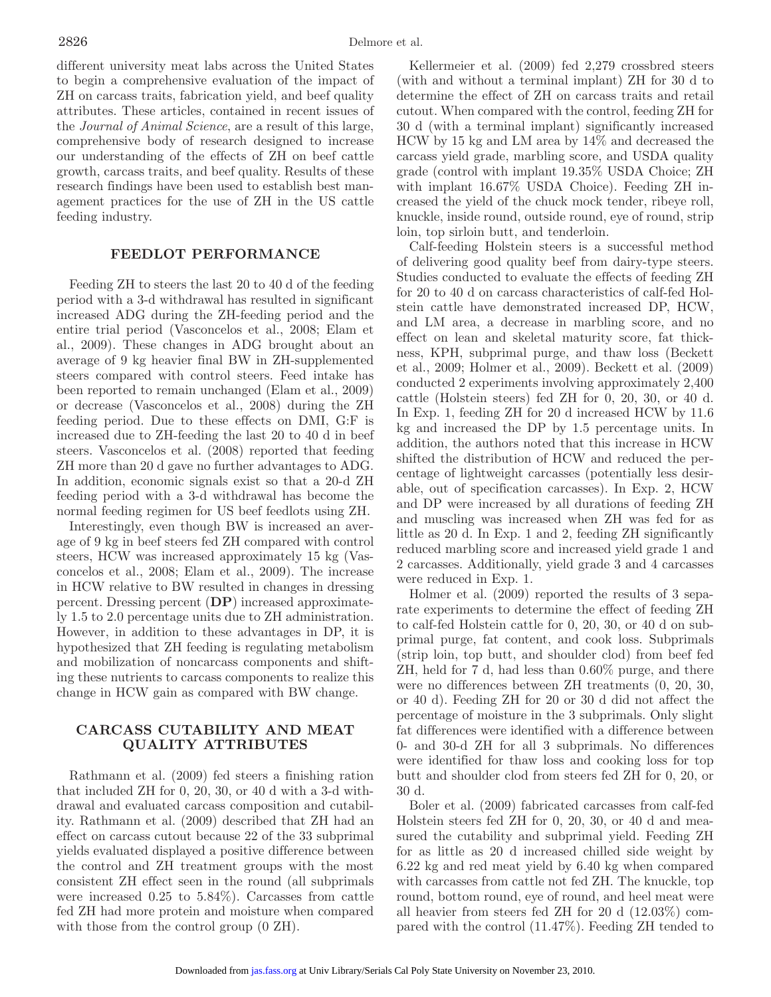different university meat labs across the United States to begin a comprehensive evaluation of the impact of ZH on carcass traits, fabrication yield, and beef quality attributes. These articles, contained in recent issues of the *Journal of Animal Science*, are a result of this large, comprehensive body of research designed to increase our understanding of the effects of ZH on beef cattle growth, carcass traits, and beef quality. Results of these research findings have been used to establish best management practices for the use of ZH in the US cattle feeding industry.

# **FEEDLOT PERFORMANCE**

Feeding ZH to steers the last 20 to 40 d of the feeding period with a 3-d withdrawal has resulted in significant increased ADG during the ZH-feeding period and the entire trial period (Vasconcelos et al., 2008; Elam et al., 2009). These changes in ADG brought about an average of 9 kg heavier final BW in ZH-supplemented steers compared with control steers. Feed intake has been reported to remain unchanged (Elam et al., 2009) or decrease (Vasconcelos et al., 2008) during the ZH feeding period. Due to these effects on DMI, G:F is increased due to ZH-feeding the last 20 to 40 d in beef steers. Vasconcelos et al. (2008) reported that feeding ZH more than 20 d gave no further advantages to ADG. In addition, economic signals exist so that a 20-d ZH feeding period with a 3-d withdrawal has become the normal feeding regimen for US beef feedlots using ZH.

Interestingly, even though BW is increased an average of 9 kg in beef steers fed ZH compared with control steers, HCW was increased approximately 15 kg (Vasconcelos et al., 2008; Elam et al., 2009). The increase in HCW relative to BW resulted in changes in dressing percent. Dressing percent (**DP**) increased approximately 1.5 to 2.0 percentage units due to ZH administration. However, in addition to these advantages in DP, it is hypothesized that ZH feeding is regulating metabolism and mobilization of noncarcass components and shifting these nutrients to carcass components to realize this change in HCW gain as compared with BW change.

# **CARCASS CUTABILITY AND MEAT QUALITY ATTRIBUTES**

Rathmann et al. (2009) fed steers a finishing ration that included ZH for 0, 20, 30, or 40 d with a 3-d withdrawal and evaluated carcass composition and cutability. Rathmann et al. (2009) described that ZH had an effect on carcass cutout because 22 of the 33 subprimal yields evaluated displayed a positive difference between the control and ZH treatment groups with the most consistent ZH effect seen in the round (all subprimals were increased 0.25 to 5.84%). Carcasses from cattle fed ZH had more protein and moisture when compared with those from the control group  $(0 \text{ ZH})$ .

Kellermeier et al. (2009) fed 2,279 crossbred steers (with and without a terminal implant) ZH for 30 d to determine the effect of ZH on carcass traits and retail cutout. When compared with the control, feeding ZH for 30 d (with a terminal implant) significantly increased HCW by 15 kg and LM area by 14% and decreased the carcass yield grade, marbling score, and USDA quality grade (control with implant 19.35% USDA Choice; ZH with implant 16.67% USDA Choice). Feeding ZH increased the yield of the chuck mock tender, ribeye roll, knuckle, inside round, outside round, eye of round, strip loin, top sirloin butt, and tenderloin.

Calf-feeding Holstein steers is a successful method of delivering good quality beef from dairy-type steers. Studies conducted to evaluate the effects of feeding ZH for 20 to 40 d on carcass characteristics of calf-fed Holstein cattle have demonstrated increased DP, HCW, and LM area, a decrease in marbling score, and no effect on lean and skeletal maturity score, fat thickness, KPH, subprimal purge, and thaw loss (Beckett et al., 2009; Holmer et al., 2009). Beckett et al. (2009) conducted 2 experiments involving approximately 2,400 cattle (Holstein steers) fed ZH for 0, 20, 30, or 40 d. In Exp. 1, feeding ZH for 20 d increased HCW by 11.6 kg and increased the DP by 1.5 percentage units. In addition, the authors noted that this increase in HCW shifted the distribution of HCW and reduced the percentage of lightweight carcasses (potentially less desirable, out of specification carcasses). In Exp. 2, HCW and DP were increased by all durations of feeding ZH and muscling was increased when ZH was fed for as little as 20 d. In Exp. 1 and 2, feeding ZH significantly reduced marbling score and increased yield grade 1 and 2 carcasses. Additionally, yield grade 3 and 4 carcasses were reduced in Exp. 1.

Holmer et al. (2009) reported the results of 3 separate experiments to determine the effect of feeding ZH to calf-fed Holstein cattle for 0, 20, 30, or 40 d on subprimal purge, fat content, and cook loss. Subprimals (strip loin, top butt, and shoulder clod) from beef fed ZH, held for 7 d, had less than 0.60% purge, and there were no differences between ZH treatments (0, 20, 30, or 40 d). Feeding ZH for 20 or 30 d did not affect the percentage of moisture in the 3 subprimals. Only slight fat differences were identified with a difference between 0- and 30-d ZH for all 3 subprimals. No differences were identified for thaw loss and cooking loss for top butt and shoulder clod from steers fed ZH for 0, 20, or 30 d.

Boler et al. (2009) fabricated carcasses from calf-fed Holstein steers fed ZH for 0, 20, 30, or 40 d and measured the cutability and subprimal yield. Feeding ZH for as little as 20 d increased chilled side weight by 6.22 kg and red meat yield by 6.40 kg when compared with carcasses from cattle not fed ZH. The knuckle, top round, bottom round, eye of round, and heel meat were all heavier from steers fed ZH for 20 d (12.03%) compared with the control (11.47%). Feeding ZH tended to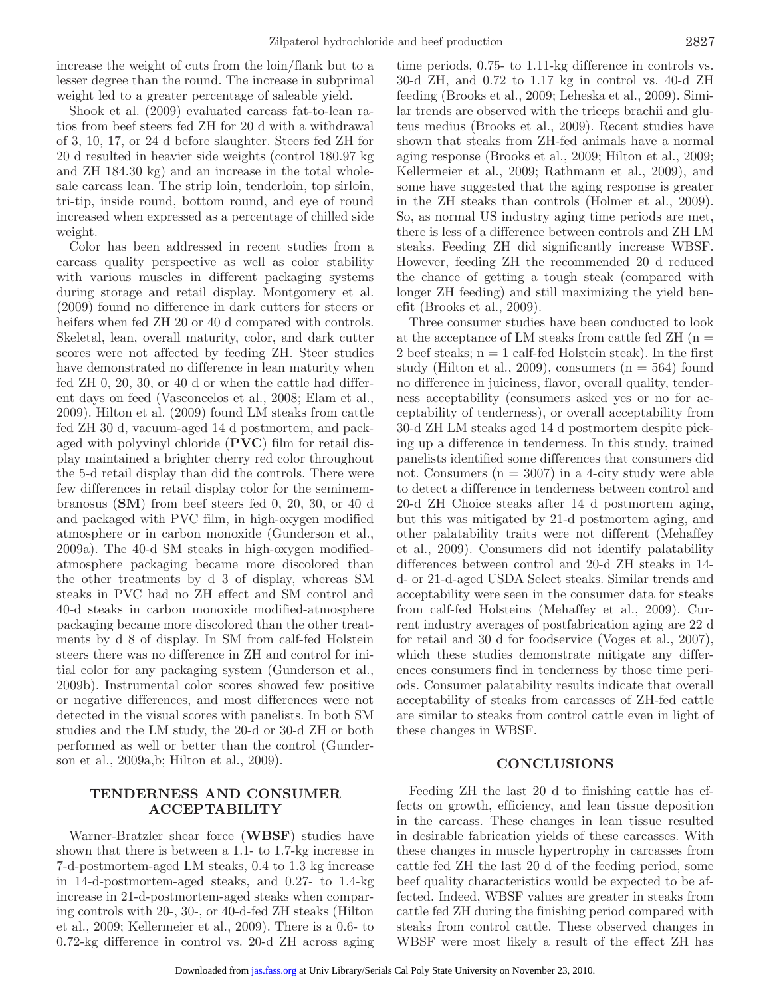increase the weight of cuts from the loin/flank but to a lesser degree than the round. The increase in subprimal weight led to a greater percentage of saleable yield.

Shook et al. (2009) evaluated carcass fat-to-lean ratios from beef steers fed ZH for 20 d with a withdrawal of 3, 10, 17, or 24 d before slaughter. Steers fed ZH for 20 d resulted in heavier side weights (control 180.97 kg and ZH 184.30 kg) and an increase in the total wholesale carcass lean. The strip loin, tenderloin, top sirloin, tri-tip, inside round, bottom round, and eye of round increased when expressed as a percentage of chilled side weight.

Color has been addressed in recent studies from a carcass quality perspective as well as color stability with various muscles in different packaging systems during storage and retail display. Montgomery et al. (2009) found no difference in dark cutters for steers or heifers when fed ZH 20 or 40 d compared with controls. Skeletal, lean, overall maturity, color, and dark cutter scores were not affected by feeding ZH. Steer studies have demonstrated no difference in lean maturity when fed ZH 0, 20, 30, or 40 d or when the cattle had different days on feed (Vasconcelos et al., 2008; Elam et al., 2009). Hilton et al. (2009) found LM steaks from cattle fed ZH 30 d, vacuum-aged 14 d postmortem, and packaged with polyvinyl chloride (**PVC**) film for retail display maintained a brighter cherry red color throughout the 5-d retail display than did the controls. There were few differences in retail display color for the semimembranosus (**SM**) from beef steers fed 0, 20, 30, or 40 d and packaged with PVC film, in high-oxygen modified atmosphere or in carbon monoxide (Gunderson et al., 2009a). The 40-d SM steaks in high-oxygen modifiedatmosphere packaging became more discolored than the other treatments by d 3 of display, whereas SM steaks in PVC had no ZH effect and SM control and 40-d steaks in carbon monoxide modified-atmosphere packaging became more discolored than the other treatments by d 8 of display. In SM from calf-fed Holstein steers there was no difference in ZH and control for initial color for any packaging system (Gunderson et al., 2009b). Instrumental color scores showed few positive or negative differences, and most differences were not detected in the visual scores with panelists. In both SM studies and the LM study, the 20-d or 30-d ZH or both performed as well or better than the control (Gunderson et al., 2009a,b; Hilton et al., 2009).

## **TENDERNESS AND CONSUMER ACCEPTABILITY**

Warner-Bratzler shear force (**WBSF**) studies have shown that there is between a 1.1- to 1.7-kg increase in 7-d-postmortem-aged LM steaks, 0.4 to 1.3 kg increase in 14-d-postmortem-aged steaks, and 0.27- to 1.4-kg increase in 21-d-postmortem-aged steaks when comparing controls with 20-, 30-, or 40-d-fed ZH steaks (Hilton et al., 2009; Kellermeier et al., 2009). There is a 0.6- to 0.72-kg difference in control vs. 20-d ZH across aging

time periods, 0.75- to 1.11-kg difference in controls vs. 30-d ZH, and 0.72 to 1.17 kg in control vs. 40-d ZH feeding (Brooks et al., 2009; Leheska et al., 2009). Similar trends are observed with the triceps brachii and gluteus medius (Brooks et al., 2009). Recent studies have shown that steaks from ZH-fed animals have a normal aging response (Brooks et al., 2009; Hilton et al., 2009; Kellermeier et al., 2009; Rathmann et al., 2009), and some have suggested that the aging response is greater in the ZH steaks than controls (Holmer et al., 2009). So, as normal US industry aging time periods are met, there is less of a difference between controls and ZH LM steaks. Feeding ZH did significantly increase WBSF. However, feeding ZH the recommended 20 d reduced the chance of getting a tough steak (compared with longer ZH feeding) and still maximizing the yield benefit (Brooks et al., 2009).

Three consumer studies have been conducted to look at the acceptance of LM steaks from cattle fed  $ZH$  (n = 2 beef steaks;  $n = 1$  calf-fed Holstein steak). In the first study (Hilton et al., 2009), consumers  $(n = 564)$  found no difference in juiciness, flavor, overall quality, tenderness acceptability (consumers asked yes or no for acceptability of tenderness), or overall acceptability from 30-d ZH LM steaks aged 14 d postmortem despite picking up a difference in tenderness. In this study, trained panelists identified some differences that consumers did not. Consumers  $(n = 3007)$  in a 4-city study were able to detect a difference in tenderness between control and 20-d ZH Choice steaks after 14 d postmortem aging, but this was mitigated by 21-d postmortem aging, and other palatability traits were not different (Mehaffey et al., 2009). Consumers did not identify palatability differences between control and 20-d ZH steaks in 14 d- or 21-d-aged USDA Select steaks. Similar trends and acceptability were seen in the consumer data for steaks from calf-fed Holsteins (Mehaffey et al., 2009). Current industry averages of postfabrication aging are 22 d for retail and 30 d for foodservice (Voges et al., 2007), which these studies demonstrate mitigate any differences consumers find in tenderness by those time periods. Consumer palatability results indicate that overall acceptability of steaks from carcasses of ZH-fed cattle are similar to steaks from control cattle even in light of these changes in WBSF.

#### **CONCLUSIONS**

Feeding ZH the last 20 d to finishing cattle has effects on growth, efficiency, and lean tissue deposition in the carcass. These changes in lean tissue resulted in desirable fabrication yields of these carcasses. With these changes in muscle hypertrophy in carcasses from cattle fed ZH the last 20 d of the feeding period, some beef quality characteristics would be expected to be affected. Indeed, WBSF values are greater in steaks from cattle fed ZH during the finishing period compared with steaks from control cattle. These observed changes in WBSF were most likely a result of the effect ZH has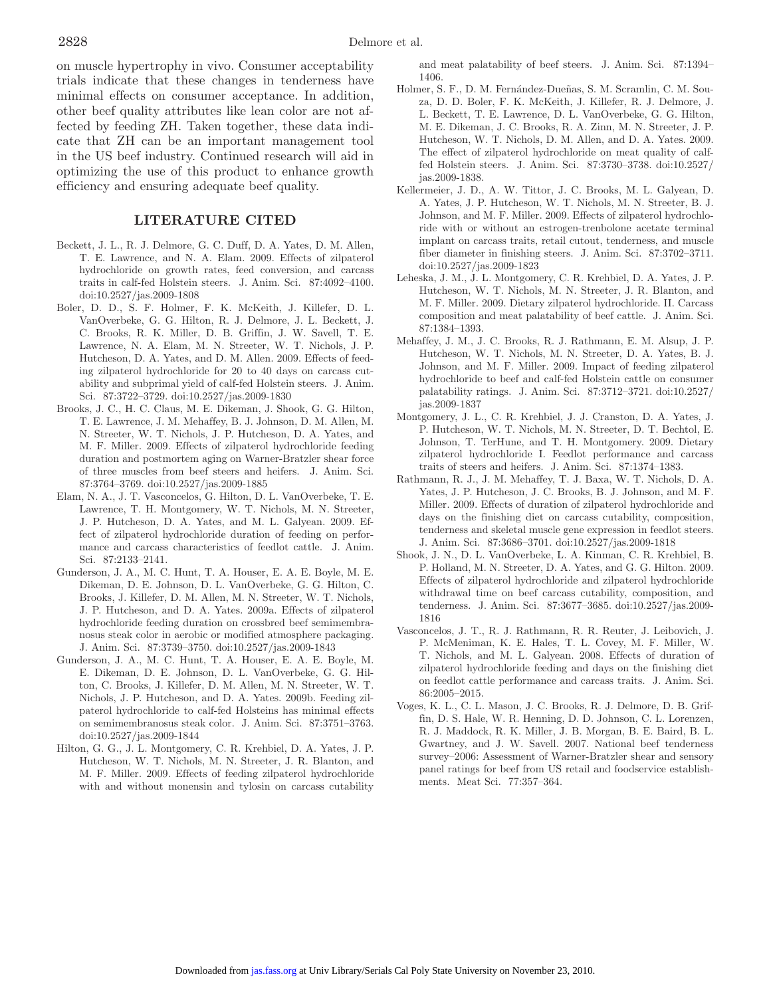on muscle hypertrophy in vivo. Consumer acceptability trials indicate that these changes in tenderness have minimal effects on consumer acceptance. In addition, other beef quality attributes like lean color are not affected by feeding ZH. Taken together, these data indicate that ZH can be an important management tool in the US beef industry. Continued research will aid in optimizing the use of this product to enhance growth efficiency and ensuring adequate beef quality.

### **LITERATURE CITED**

- Beckett, J. L., R. J. Delmore, G. C. Duff, D. A. Yates, D. M. Allen, T. E. Lawrence, and N. A. Elam. 2009. Effects of zilpaterol hydrochloride on growth rates, feed conversion, and carcass traits in calf-fed Holstein steers. J. Anim. Sci. 87:4092–4100. doi:10.2527/jas.2009-1808
- Boler, D. D., S. F. Holmer, F. K. McKeith, J. Killefer, D. L. VanOverbeke, G. G. Hilton, R. J. Delmore, J. L. Beckett, J. C. Brooks, R. K. Miller, D. B. Griffin, J. W. Savell, T. E. Lawrence, N. A. Elam, M. N. Streeter, W. T. Nichols, J. P. Hutcheson, D. A. Yates, and D. M. Allen. 2009. Effects of feeding zilpaterol hydrochloride for 20 to 40 days on carcass cutability and subprimal yield of calf-fed Holstein steers. J. Anim. Sci. 87:3722–3729. doi:10.2527/jas.2009-1830
- Brooks, J. C., H. C. Claus, M. E. Dikeman, J. Shook, G. G. Hilton, T. E. Lawrence, J. M. Mehaffey, B. J. Johnson, D. M. Allen, M. N. Streeter, W. T. Nichols, J. P. Hutcheson, D. A. Yates, and M. F. Miller. 2009. Effects of zilpaterol hydrochloride feeding duration and postmortem aging on Warner-Bratzler shear force of three muscles from beef steers and heifers. J. Anim. Sci. 87:3764–3769. doi:10.2527/jas.2009-1885
- Elam, N. A., J. T. Vasconcelos, G. Hilton, D. L. VanOverbeke, T. E. Lawrence, T. H. Montgomery, W. T. Nichols, M. N. Streeter, J. P. Hutcheson, D. A. Yates, and M. L. Galyean. 2009. Effect of zilpaterol hydrochloride duration of feeding on performance and carcass characteristics of feedlot cattle. J. Anim. Sci. 87:2133–2141.
- Gunderson, J. A., M. C. Hunt, T. A. Houser, E. A. E. Boyle, M. E. Dikeman, D. E. Johnson, D. L. VanOverbeke, G. G. Hilton, C. Brooks, J. Killefer, D. M. Allen, M. N. Streeter, W. T. Nichols, J. P. Hutcheson, and D. A. Yates. 2009a. Effects of zilpaterol hydrochloride feeding duration on crossbred beef semimembranosus steak color in aerobic or modified atmosphere packaging. J. Anim. Sci. 87:3739–3750. doi:10.2527/jas.2009-1843
- Gunderson, J. A., M. C. Hunt, T. A. Houser, E. A. E. Boyle, M. E. Dikeman, D. E. Johnson, D. L. VanOverbeke, G. G. Hilton, C. Brooks, J. Killefer, D. M. Allen, M. N. Streeter, W. T. Nichols, J. P. Hutcheson, and D. A. Yates. 2009b. Feeding zilpaterol hydrochloride to calf-fed Holsteins has minimal effects on semimembranosus steak color. J. Anim. Sci. 87:3751–3763. doi:10.2527/jas.2009-1844
- Hilton, G. G., J. L. Montgomery, C. R. Krehbiel, D. A. Yates, J. P. Hutcheson, W. T. Nichols, M. N. Streeter, J. R. Blanton, and M. F. Miller. 2009. Effects of feeding zilpaterol hydrochloride with and without monensin and tylosin on carcass cutability

and meat palatability of beef steers. J. Anim. Sci. 87:1394– 1406.

- Holmer, S. F., D. M. Fernández-Dueñas, S. M. Scramlin, C. M. Souza, D. D. Boler, F. K. McKeith, J. Killefer, R. J. Delmore, J. L. Beckett, T. E. Lawrence, D. L. VanOverbeke, G. G. Hilton, M. E. Dikeman, J. C. Brooks, R. A. Zinn, M. N. Streeter, J. P. Hutcheson, W. T. Nichols, D. M. Allen, and D. A. Yates. 2009. The effect of zilpaterol hydrochloride on meat quality of calffed Holstein steers. J. Anim. Sci. 87:3730–3738. doi:10.2527/ jas.2009-1838.
- Kellermeier, J. D., A. W. Tittor, J. C. Brooks, M. L. Galyean, D. A. Yates, J. P. Hutcheson, W. T. Nichols, M. N. Streeter, B. J. Johnson, and M. F. Miller. 2009. Effects of zilpaterol hydrochloride with or without an estrogen-trenbolone acetate terminal implant on carcass traits, retail cutout, tenderness, and muscle fiber diameter in finishing steers. J. Anim. Sci. 87:3702–3711. doi:10.2527/jas.2009-1823
- Leheska, J. M., J. L. Montgomery, C. R. Krehbiel, D. A. Yates, J. P. Hutcheson, W. T. Nichols, M. N. Streeter, J. R. Blanton, and M. F. Miller. 2009. Dietary zilpaterol hydrochloride. II. Carcass composition and meat palatability of beef cattle. J. Anim. Sci. 87:1384–1393.
- Mehaffey, J. M., J. C. Brooks, R. J. Rathmann, E. M. Alsup, J. P. Hutcheson, W. T. Nichols, M. N. Streeter, D. A. Yates, B. J. Johnson, and M. F. Miller. 2009. Impact of feeding zilpaterol hydrochloride to beef and calf-fed Holstein cattle on consumer palatability ratings. J. Anim. Sci. 87:3712–3721. doi:10.2527/ jas.2009-1837
- Montgomery, J. L., C. R. Krehbiel, J. J. Cranston, D. A. Yates, J. P. Hutcheson, W. T. Nichols, M. N. Streeter, D. T. Bechtol, E. Johnson, T. TerHune, and T. H. Montgomery. 2009. Dietary zilpaterol hydrochloride I. Feedlot performance and carcass traits of steers and heifers. J. Anim. Sci. 87:1374–1383.
- Rathmann, R. J., J. M. Mehaffey, T. J. Baxa, W. T. Nichols, D. A. Yates, J. P. Hutcheson, J. C. Brooks, B. J. Johnson, and M. F. Miller. 2009. Effects of duration of zilpaterol hydrochloride and days on the finishing diet on carcass cutability, composition, tenderness and skeletal muscle gene expression in feedlot steers. J. Anim. Sci. 87:3686–3701. doi:10.2527/jas.2009-1818
- Shook, J. N., D. L. VanOverbeke, L. A. Kinman, C. R. Krehbiel, B. P. Holland, M. N. Streeter, D. A. Yates, and G. G. Hilton. 2009. Effects of zilpaterol hydrochloride and zilpaterol hydrochloride withdrawal time on beef carcass cutability, composition, and tenderness. J. Anim. Sci. 87:3677–3685. doi:10.2527/jas.2009 1816
- Vasconcelos, J. T., R. J. Rathmann, R. R. Reuter, J. Leibovich, J. P. McMeniman, K. E. Hales, T. L. Covey, M. F. Miller, W. T. Nichols, and M. L. Galyean. 2008. Effects of duration of zilpaterol hydrochloride feeding and days on the finishing diet on feedlot cattle performance and carcass traits. J. Anim. Sci. 86:2005–2015.
- Voges, K. L., C. L. Mason, J. C. Brooks, R. J. Delmore, D. B. Griffin, D. S. Hale, W. R. Henning, D. D. Johnson, C. L. Lorenzen, R. J. Maddock, R. K. Miller, J. B. Morgan, B. E. Baird, B. L. Gwartney, and J. W. Savell. 2007. National beef tenderness survey–2006: Assessment of Warner-Bratzler shear and sensory panel ratings for beef from US retail and foodservice establishments. Meat Sci. 77:357–364.